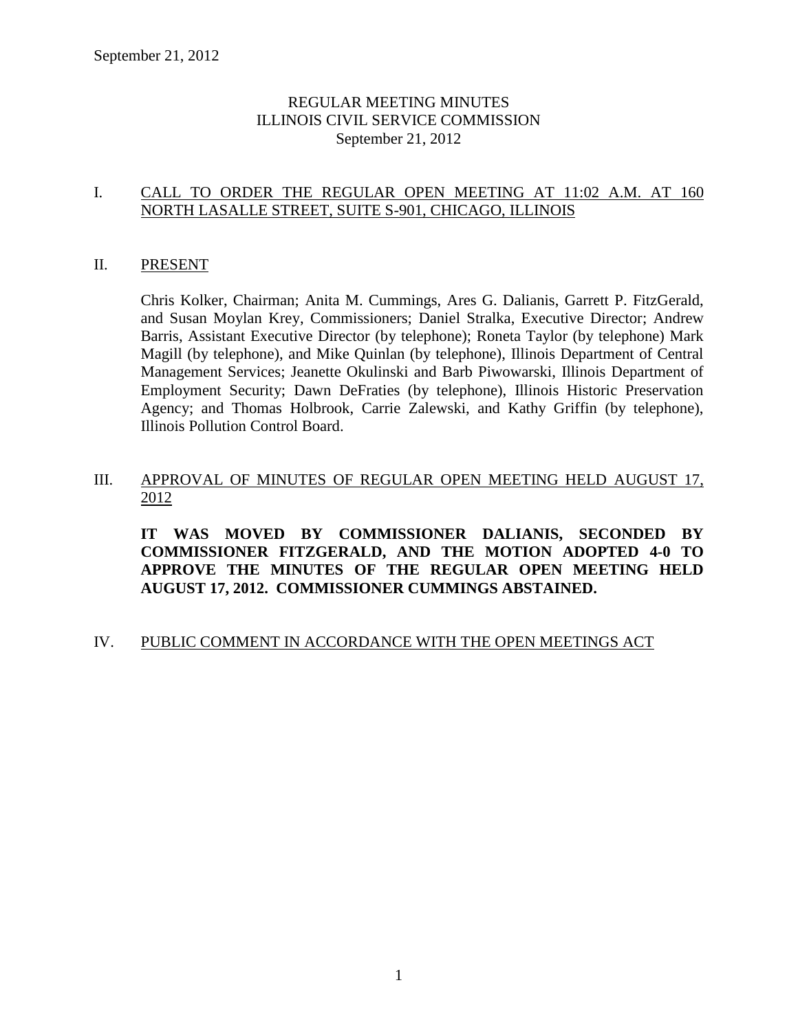# REGULAR MEETING MINUTES ILLINOIS CIVIL SERVICE COMMISSION September 21, 2012

# I. CALL TO ORDER THE REGULAR OPEN MEETING AT 11:02 A.M. AT 160 NORTH LASALLE STREET, SUITE S-901, CHICAGO, ILLINOIS

## II. PRESENT

Chris Kolker, Chairman; Anita M. Cummings, Ares G. Dalianis, Garrett P. FitzGerald, and Susan Moylan Krey, Commissioners; Daniel Stralka, Executive Director; Andrew Barris, Assistant Executive Director (by telephone); Roneta Taylor (by telephone) Mark Magill (by telephone), and Mike Quinlan (by telephone), Illinois Department of Central Management Services; Jeanette Okulinski and Barb Piwowarski, Illinois Department of Employment Security; Dawn DeFraties (by telephone), Illinois Historic Preservation Agency; and Thomas Holbrook, Carrie Zalewski, and Kathy Griffin (by telephone), Illinois Pollution Control Board.

# III. APPROVAL OF MINUTES OF REGULAR OPEN MEETING HELD AUGUST 17, 2012

**IT WAS MOVED BY COMMISSIONER DALIANIS, SECONDED BY COMMISSIONER FITZGERALD, AND THE MOTION ADOPTED 4-0 TO APPROVE THE MINUTES OF THE REGULAR OPEN MEETING HELD AUGUST 17, 2012. COMMISSIONER CUMMINGS ABSTAINED.**

# IV. PUBLIC COMMENT IN ACCORDANCE WITH THE OPEN MEETINGS ACT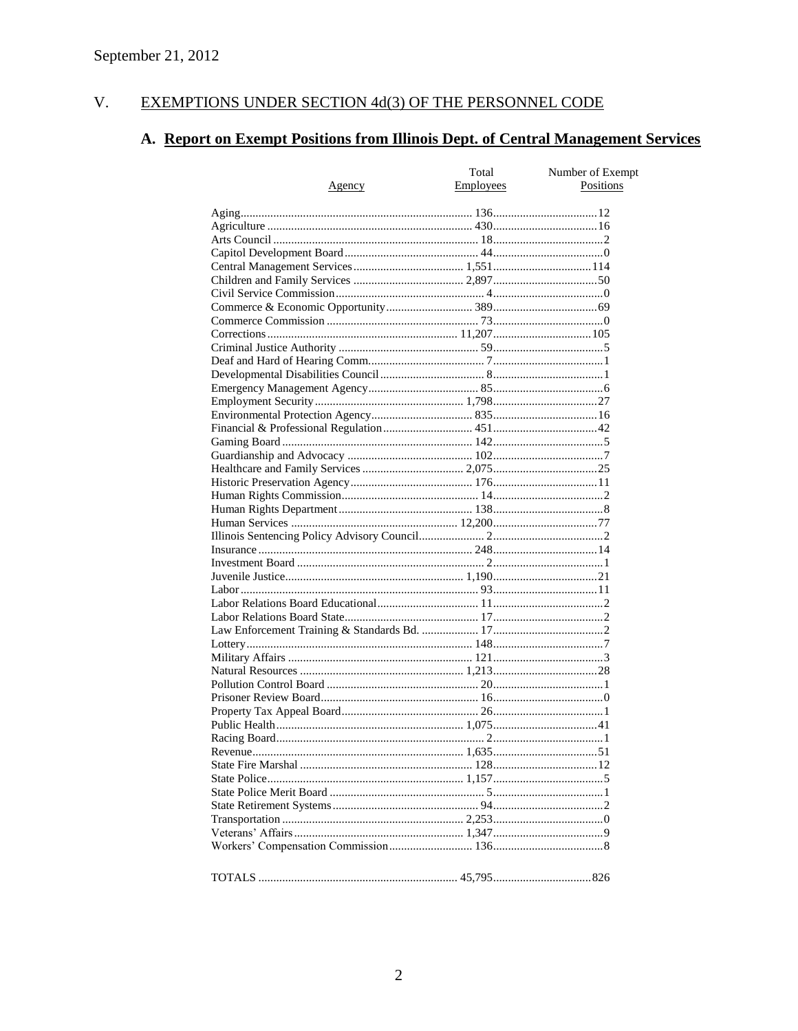#### V. EXEMPTIONS UNDER SECTION 4d(3) OF THE PERSONNEL CODE

# A. Report on Exempt Positions from Illinois Dept. of Central Management Services

|               | Total     | Number of Exempt |
|---------------|-----------|------------------|
| <u>Agency</u> | Employees | Positions        |
|               |           |                  |
|               |           |                  |
|               |           |                  |
|               |           |                  |
|               |           |                  |
|               |           |                  |
|               |           |                  |
|               |           |                  |
|               |           |                  |
|               |           |                  |
|               |           |                  |
|               |           |                  |
|               |           |                  |
|               |           |                  |
|               |           |                  |
|               |           |                  |
|               |           |                  |
|               |           |                  |
|               |           |                  |
|               |           |                  |
|               |           |                  |
|               |           |                  |
|               |           |                  |
|               |           |                  |
|               |           |                  |
|               |           |                  |
|               |           |                  |
|               |           |                  |
|               |           |                  |
|               |           |                  |
|               |           |                  |
|               |           |                  |
|               |           |                  |
|               |           |                  |
|               |           |                  |
|               |           |                  |
|               |           |                  |
|               |           |                  |
|               |           |                  |
|               |           |                  |
|               |           |                  |
|               |           |                  |
|               |           |                  |
|               |           |                  |
|               |           |                  |
|               |           |                  |
|               |           |                  |
|               |           |                  |
|               |           |                  |
|               |           |                  |
|               |           |                  |
|               |           |                  |
|               |           |                  |
|               |           |                  |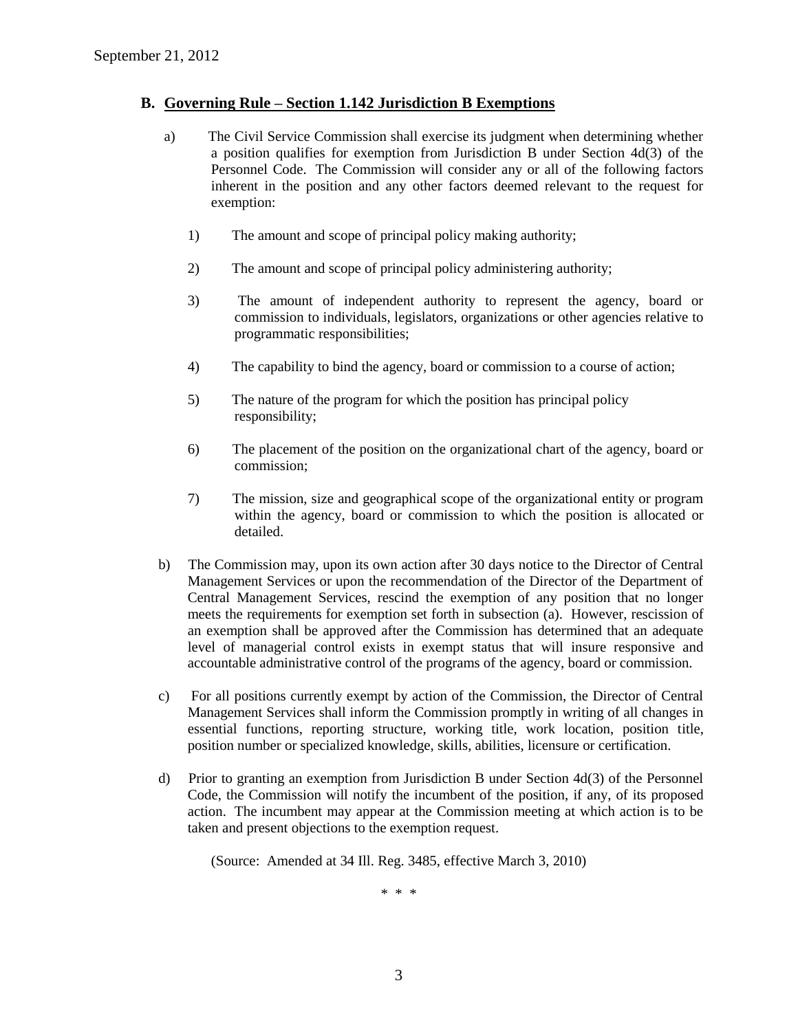#### **B. Governing Rule – Section 1.142 Jurisdiction B Exemptions**

- a) The Civil Service Commission shall exercise its judgment when determining whether a position qualifies for exemption from Jurisdiction B under Section 4d(3) of the Personnel Code. The Commission will consider any or all of the following factors inherent in the position and any other factors deemed relevant to the request for exemption:
	- 1) The amount and scope of principal policy making authority;
	- 2) The amount and scope of principal policy administering authority;
	- 3) The amount of independent authority to represent the agency, board or commission to individuals, legislators, organizations or other agencies relative to programmatic responsibilities;
	- 4) The capability to bind the agency, board or commission to a course of action;
	- 5) The nature of the program for which the position has principal policy responsibility;
	- 6) The placement of the position on the organizational chart of the agency, board or commission;
	- 7) The mission, size and geographical scope of the organizational entity or program within the agency, board or commission to which the position is allocated or detailed.
- b) The Commission may, upon its own action after 30 days notice to the Director of Central Management Services or upon the recommendation of the Director of the Department of Central Management Services, rescind the exemption of any position that no longer meets the requirements for exemption set forth in subsection (a). However, rescission of an exemption shall be approved after the Commission has determined that an adequate level of managerial control exists in exempt status that will insure responsive and accountable administrative control of the programs of the agency, board or commission.
- c) For all positions currently exempt by action of the Commission, the Director of Central Management Services shall inform the Commission promptly in writing of all changes in essential functions, reporting structure, working title, work location, position title, position number or specialized knowledge, skills, abilities, licensure or certification.
- d) Prior to granting an exemption from Jurisdiction B under Section 4d(3) of the Personnel Code, the Commission will notify the incumbent of the position, if any, of its proposed action. The incumbent may appear at the Commission meeting at which action is to be taken and present objections to the exemption request.

(Source: Amended at 34 Ill. Reg. 3485, effective March 3, 2010)

\* \* \*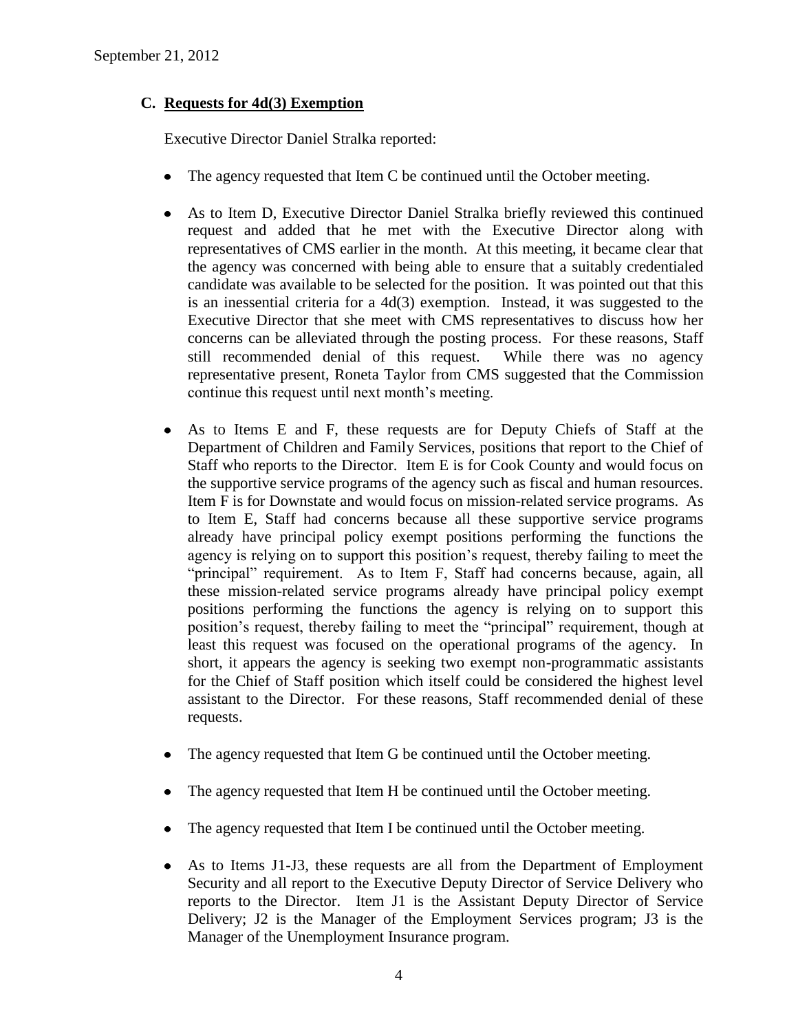# **C. Requests for 4d(3) Exemption**

Executive Director Daniel Stralka reported:

- The agency requested that Item C be continued until the October meeting.  $\bullet$
- As to Item D, Executive Director Daniel Stralka briefly reviewed this continued request and added that he met with the Executive Director along with representatives of CMS earlier in the month. At this meeting, it became clear that the agency was concerned with being able to ensure that a suitably credentialed candidate was available to be selected for the position. It was pointed out that this is an inessential criteria for a 4d(3) exemption. Instead, it was suggested to the Executive Director that she meet with CMS representatives to discuss how her concerns can be alleviated through the posting process. For these reasons, Staff still recommended denial of this request. While there was no agency representative present, Roneta Taylor from CMS suggested that the Commission continue this request until next month's meeting.
- As to Items E and F, these requests are for Deputy Chiefs of Staff at the Department of Children and Family Services, positions that report to the Chief of Staff who reports to the Director. Item E is for Cook County and would focus on the supportive service programs of the agency such as fiscal and human resources. Item F is for Downstate and would focus on mission-related service programs. As to Item E, Staff had concerns because all these supportive service programs already have principal policy exempt positions performing the functions the agency is relying on to support this position's request, thereby failing to meet the "principal" requirement. As to Item F, Staff had concerns because, again, all these mission-related service programs already have principal policy exempt positions performing the functions the agency is relying on to support this position's request, thereby failing to meet the "principal" requirement, though at least this request was focused on the operational programs of the agency. In short, it appears the agency is seeking two exempt non-programmatic assistants for the Chief of Staff position which itself could be considered the highest level assistant to the Director. For these reasons, Staff recommended denial of these requests.
- The agency requested that Item G be continued until the October meeting.  $\bullet$
- The agency requested that Item H be continued until the October meeting.  $\bullet$
- The agency requested that Item I be continued until the October meeting.
- As to Items J1-J3, these requests are all from the Department of Employment  $\bullet$ Security and all report to the Executive Deputy Director of Service Delivery who reports to the Director. Item J1 is the Assistant Deputy Director of Service Delivery; J2 is the Manager of the Employment Services program; J3 is the Manager of the Unemployment Insurance program.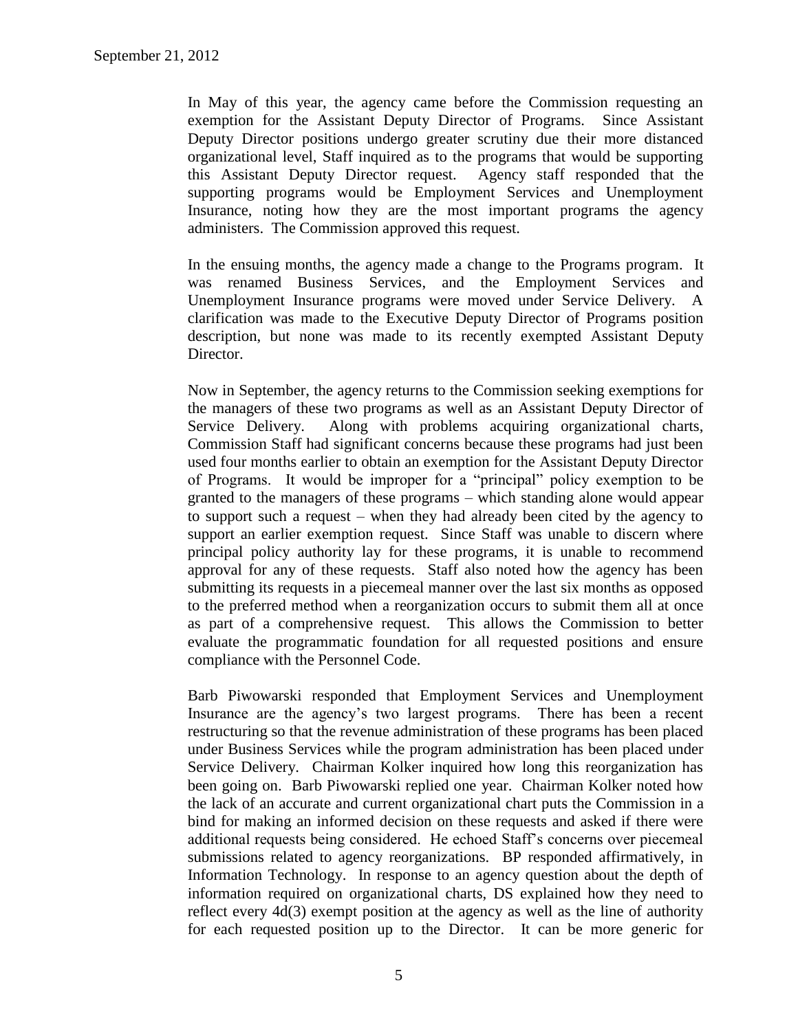In May of this year, the agency came before the Commission requesting an exemption for the Assistant Deputy Director of Programs. Since Assistant Deputy Director positions undergo greater scrutiny due their more distanced organizational level, Staff inquired as to the programs that would be supporting this Assistant Deputy Director request. Agency staff responded that the supporting programs would be Employment Services and Unemployment Insurance, noting how they are the most important programs the agency administers. The Commission approved this request.

In the ensuing months, the agency made a change to the Programs program. It was renamed Business Services, and the Employment Services and Unemployment Insurance programs were moved under Service Delivery. A clarification was made to the Executive Deputy Director of Programs position description, but none was made to its recently exempted Assistant Deputy Director.

Now in September, the agency returns to the Commission seeking exemptions for the managers of these two programs as well as an Assistant Deputy Director of Service Delivery. Along with problems acquiring organizational charts, Commission Staff had significant concerns because these programs had just been used four months earlier to obtain an exemption for the Assistant Deputy Director of Programs. It would be improper for a "principal" policy exemption to be granted to the managers of these programs – which standing alone would appear to support such a request – when they had already been cited by the agency to support an earlier exemption request. Since Staff was unable to discern where principal policy authority lay for these programs, it is unable to recommend approval for any of these requests. Staff also noted how the agency has been submitting its requests in a piecemeal manner over the last six months as opposed to the preferred method when a reorganization occurs to submit them all at once as part of a comprehensive request. This allows the Commission to better evaluate the programmatic foundation for all requested positions and ensure compliance with the Personnel Code.

Barb Piwowarski responded that Employment Services and Unemployment Insurance are the agency's two largest programs. There has been a recent restructuring so that the revenue administration of these programs has been placed under Business Services while the program administration has been placed under Service Delivery. Chairman Kolker inquired how long this reorganization has been going on. Barb Piwowarski replied one year. Chairman Kolker noted how the lack of an accurate and current organizational chart puts the Commission in a bind for making an informed decision on these requests and asked if there were additional requests being considered. He echoed Staff's concerns over piecemeal submissions related to agency reorganizations. BP responded affirmatively, in Information Technology. In response to an agency question about the depth of information required on organizational charts, DS explained how they need to reflect every 4d(3) exempt position at the agency as well as the line of authority for each requested position up to the Director. It can be more generic for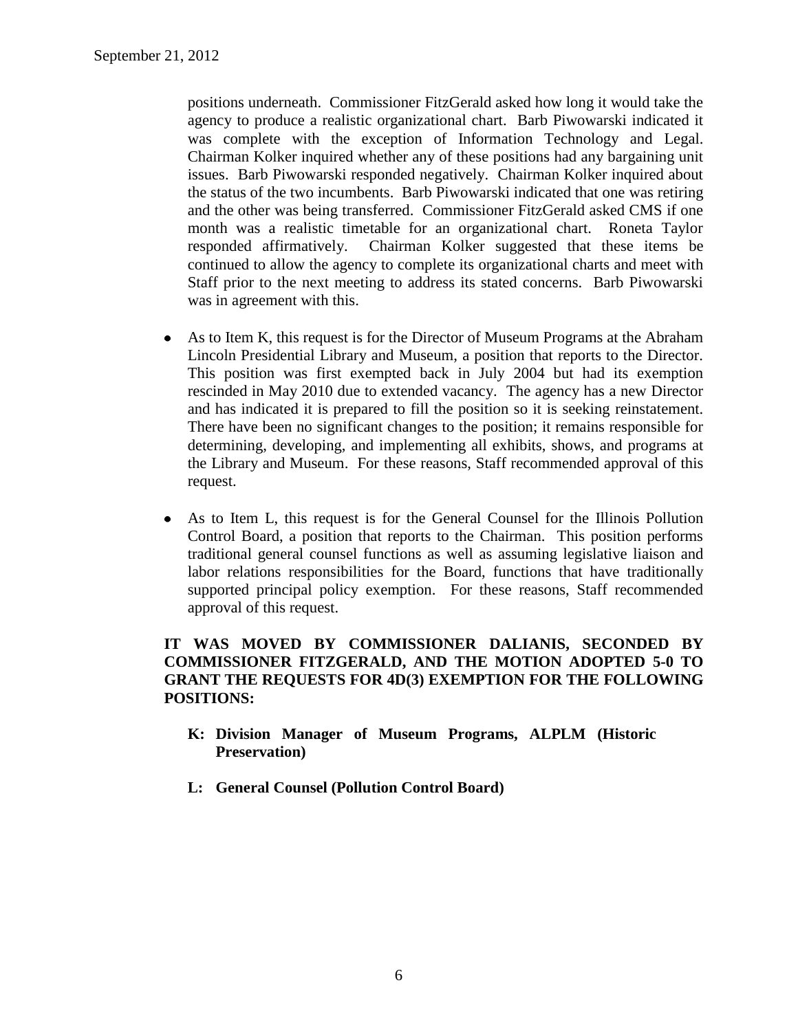positions underneath. Commissioner FitzGerald asked how long it would take the agency to produce a realistic organizational chart. Barb Piwowarski indicated it was complete with the exception of Information Technology and Legal. Chairman Kolker inquired whether any of these positions had any bargaining unit issues. Barb Piwowarski responded negatively. Chairman Kolker inquired about the status of the two incumbents. Barb Piwowarski indicated that one was retiring and the other was being transferred. Commissioner FitzGerald asked CMS if one month was a realistic timetable for an organizational chart. Roneta Taylor responded affirmatively. Chairman Kolker suggested that these items be continued to allow the agency to complete its organizational charts and meet with Staff prior to the next meeting to address its stated concerns. Barb Piwowarski was in agreement with this.

- $\bullet$ As to Item K, this request is for the Director of Museum Programs at the Abraham Lincoln Presidential Library and Museum, a position that reports to the Director. This position was first exempted back in July 2004 but had its exemption rescinded in May 2010 due to extended vacancy. The agency has a new Director and has indicated it is prepared to fill the position so it is seeking reinstatement. There have been no significant changes to the position; it remains responsible for determining, developing, and implementing all exhibits, shows, and programs at the Library and Museum. For these reasons, Staff recommended approval of this request.
- As to Item L, this request is for the General Counsel for the Illinois Pollution Control Board, a position that reports to the Chairman. This position performs traditional general counsel functions as well as assuming legislative liaison and labor relations responsibilities for the Board, functions that have traditionally supported principal policy exemption. For these reasons, Staff recommended approval of this request.

# **IT WAS MOVED BY COMMISSIONER DALIANIS, SECONDED BY COMMISSIONER FITZGERALD, AND THE MOTION ADOPTED 5-0 TO GRANT THE REQUESTS FOR 4D(3) EXEMPTION FOR THE FOLLOWING POSITIONS:**

- **K: Division Manager of Museum Programs, ALPLM (Historic Preservation)**
- **L: General Counsel (Pollution Control Board)**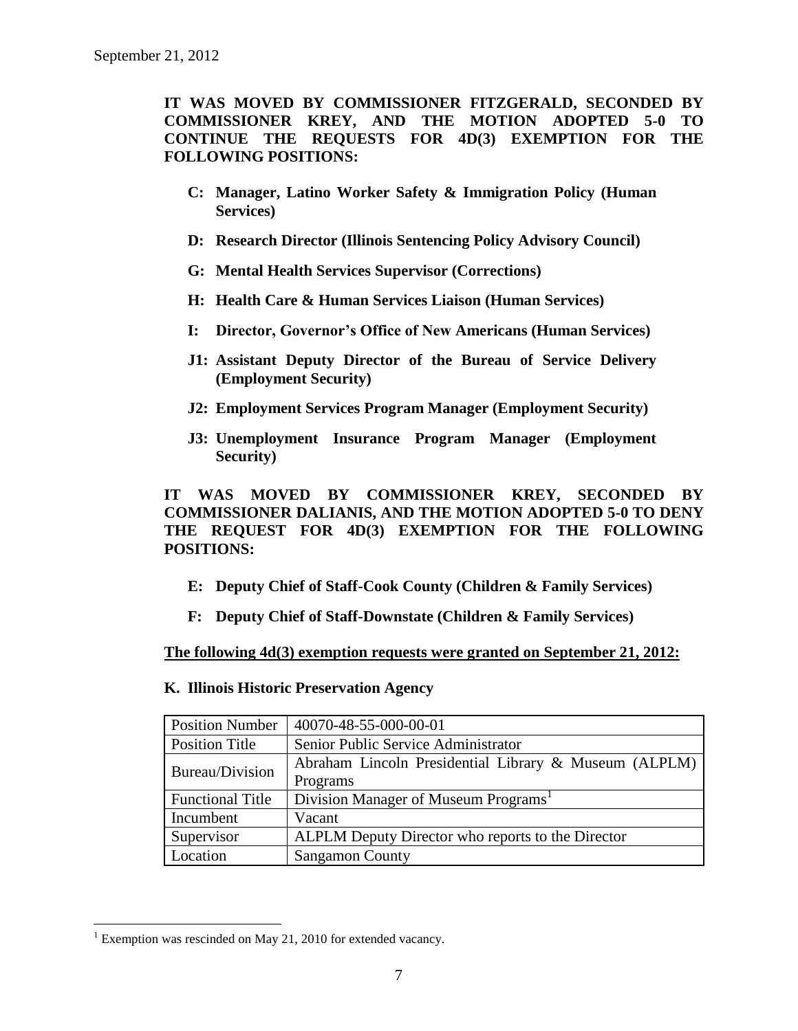**IT WAS MOVED BY COMMISSIONER FITZGERALD, SECONDED BY COMMISSIONER KREY, AND THE MOTION ADOPTED 5-0 TO CONTINUE THE REQUESTS FOR 4D(3) EXEMPTION FOR THE FOLLOWING POSITIONS:**

- **C: Manager, Latino Worker Safety & Immigration Policy (Human Services)**
- **D: Research Director (Illinois Sentencing Policy Advisory Council)**
- **G: Mental Health Services Supervisor (Corrections)**
- **H: Health Care & Human Services Liaison (Human Services)**
- **I: Director, Governor's Office of New Americans (Human Services)**
- **J1: Assistant Deputy Director of the Bureau of Service Delivery (Employment Security)**
- **J2: Employment Services Program Manager (Employment Security)**
- **J3: Unemployment Insurance Program Manager (Employment Security)**

**IT WAS MOVED BY COMMISSIONER KREY, SECONDED BY COMMISSIONER DALIANIS, AND THE MOTION ADOPTED 5-0 TO DENY THE REQUEST FOR 4D(3) EXEMPTION FOR THE FOLLOWING POSITIONS:**

- **E: Deputy Chief of Staff-Cook County (Children & Family Services)**
- **F: Deputy Chief of Staff-Downstate (Children & Family Services)**

**The following 4d(3) exemption requests were granted on September 21, 2012:**

| <b>Position Number</b>  | 40070-48-55-000-00-01                                 |
|-------------------------|-------------------------------------------------------|
| <b>Position Title</b>   | Senior Public Service Administrator                   |
| Bureau/Division         | Abraham Lincoln Presidential Library & Museum (ALPLM) |
|                         | Programs                                              |
| <b>Functional Title</b> | Division Manager of Museum Programs <sup>1</sup>      |
| Incumbent               | Vacant                                                |
| Supervisor              | ALPLM Deputy Director who reports to the Director     |
| Location                | <b>Sangamon County</b>                                |

**K. Illinois Historic Preservation Agency**

 $\overline{a}$ <sup>1</sup> Exemption was rescinded on May 21, 2010 for extended vacancy.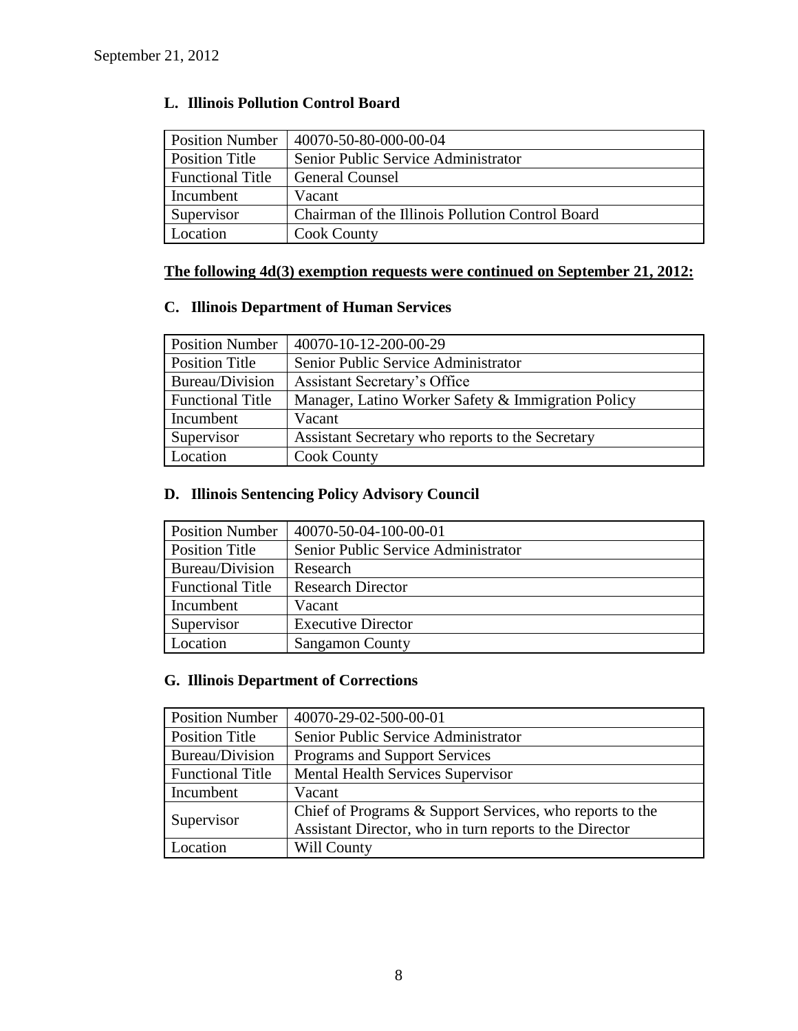# **L. Illinois Pollution Control Board**

| <b>Position Number</b>  | 40070-50-80-000-00-04                            |
|-------------------------|--------------------------------------------------|
| <b>Position Title</b>   | Senior Public Service Administrator              |
| <b>Functional Title</b> | <b>General Counsel</b>                           |
| Incumbent               | Vacant                                           |
| Supervisor              | Chairman of the Illinois Pollution Control Board |
| Location                | <b>Cook County</b>                               |

# **The following 4d(3) exemption requests were continued on September 21, 2012:**

# **C. Illinois Department of Human Services**

| <b>Position Number</b>  | 40070-10-12-200-00-29                              |
|-------------------------|----------------------------------------------------|
| Position Title          | Senior Public Service Administrator                |
| Bureau/Division         | Assistant Secretary's Office                       |
| <b>Functional Title</b> | Manager, Latino Worker Safety & Immigration Policy |
| Incumbent               | Vacant                                             |
| Supervisor              | Assistant Secretary who reports to the Secretary   |
| Location                | <b>Cook County</b>                                 |

# **D. Illinois Sentencing Policy Advisory Council**

| <b>Position Number</b>  | 40070-50-04-100-00-01               |
|-------------------------|-------------------------------------|
| <b>Position Title</b>   | Senior Public Service Administrator |
| Bureau/Division         | Research                            |
| <b>Functional Title</b> | <b>Research Director</b>            |
| Incumbent               | Vacant                              |
| Supervisor              | <b>Executive Director</b>           |
| Location                | <b>Sangamon County</b>              |

# **G. Illinois Department of Corrections**

| <b>Position Number</b>  | 40070-29-02-500-00-01                                    |
|-------------------------|----------------------------------------------------------|
| <b>Position Title</b>   | Senior Public Service Administrator                      |
| Bureau/Division         | Programs and Support Services                            |
| <b>Functional Title</b> | <b>Mental Health Services Supervisor</b>                 |
| Incumbent               | Vacant                                                   |
| Supervisor              | Chief of Programs & Support Services, who reports to the |
|                         | Assistant Director, who in turn reports to the Director  |
| Location                | Will County                                              |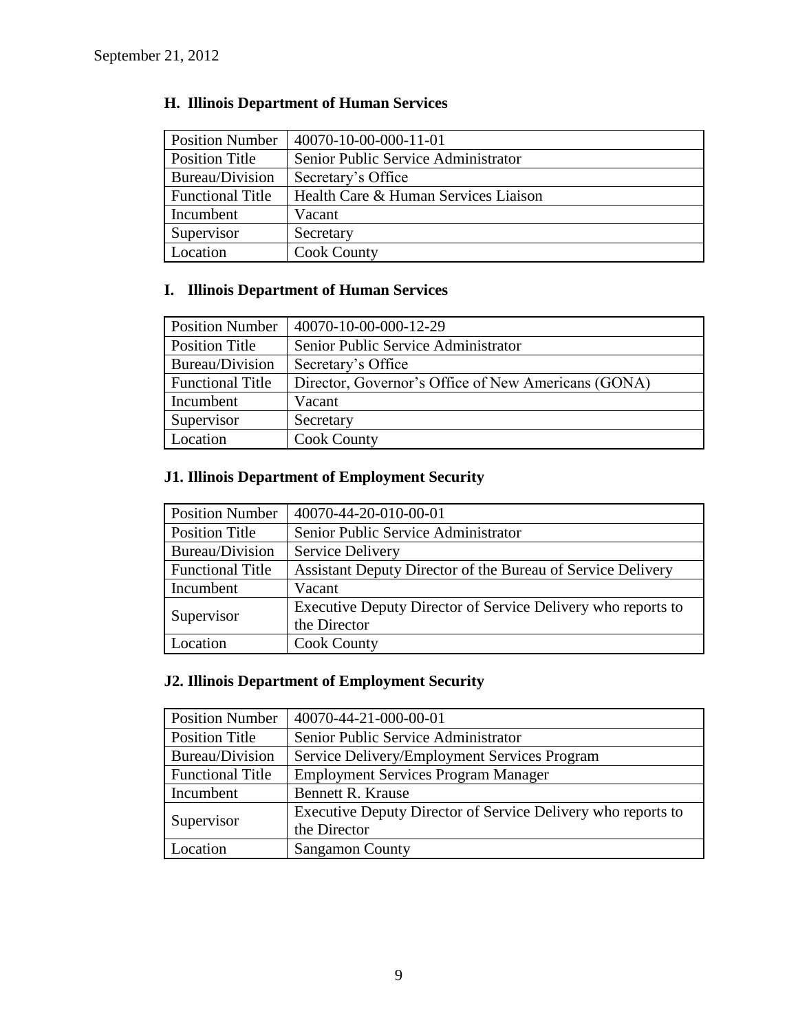| <b>Position Number</b>  | 40070-10-00-000-11-01                |
|-------------------------|--------------------------------------|
| Position Title          | Senior Public Service Administrator  |
| Bureau/Division         | Secretary's Office                   |
| <b>Functional Title</b> | Health Care & Human Services Liaison |
| Incumbent               | Vacant                               |
| Supervisor              | Secretary                            |
| Location                | <b>Cook County</b>                   |

# **H. Illinois Department of Human Services**

# **I. Illinois Department of Human Services**

| <b>Position Number</b>  | 40070-10-00-000-12-29                               |
|-------------------------|-----------------------------------------------------|
| Position Title          | Senior Public Service Administrator                 |
| Bureau/Division         | Secretary's Office                                  |
| <b>Functional Title</b> | Director, Governor's Office of New Americans (GONA) |
| Incumbent               | Vacant                                              |
| Supervisor              | Secretary                                           |
| Location                | <b>Cook County</b>                                  |

# **J1. Illinois Department of Employment Security**

| <b>Position Number</b>  | 40070-44-20-010-00-01                                        |
|-------------------------|--------------------------------------------------------------|
| <b>Position Title</b>   | Senior Public Service Administrator                          |
| Bureau/Division         | Service Delivery                                             |
| <b>Functional Title</b> | Assistant Deputy Director of the Bureau of Service Delivery  |
| Incumbent               | Vacant                                                       |
| Supervisor              | Executive Deputy Director of Service Delivery who reports to |
|                         | the Director                                                 |
| Location                | <b>Cook County</b>                                           |

# **J2. Illinois Department of Employment Security**

| <b>Position Number</b>  | 40070-44-21-000-00-01                                        |
|-------------------------|--------------------------------------------------------------|
| <b>Position Title</b>   | Senior Public Service Administrator                          |
| Bureau/Division         | Service Delivery/Employment Services Program                 |
| <b>Functional Title</b> | <b>Employment Services Program Manager</b>                   |
| Incumbent               | <b>Bennett R. Krause</b>                                     |
| Supervisor              | Executive Deputy Director of Service Delivery who reports to |
|                         | the Director                                                 |
| Location                | <b>Sangamon County</b>                                       |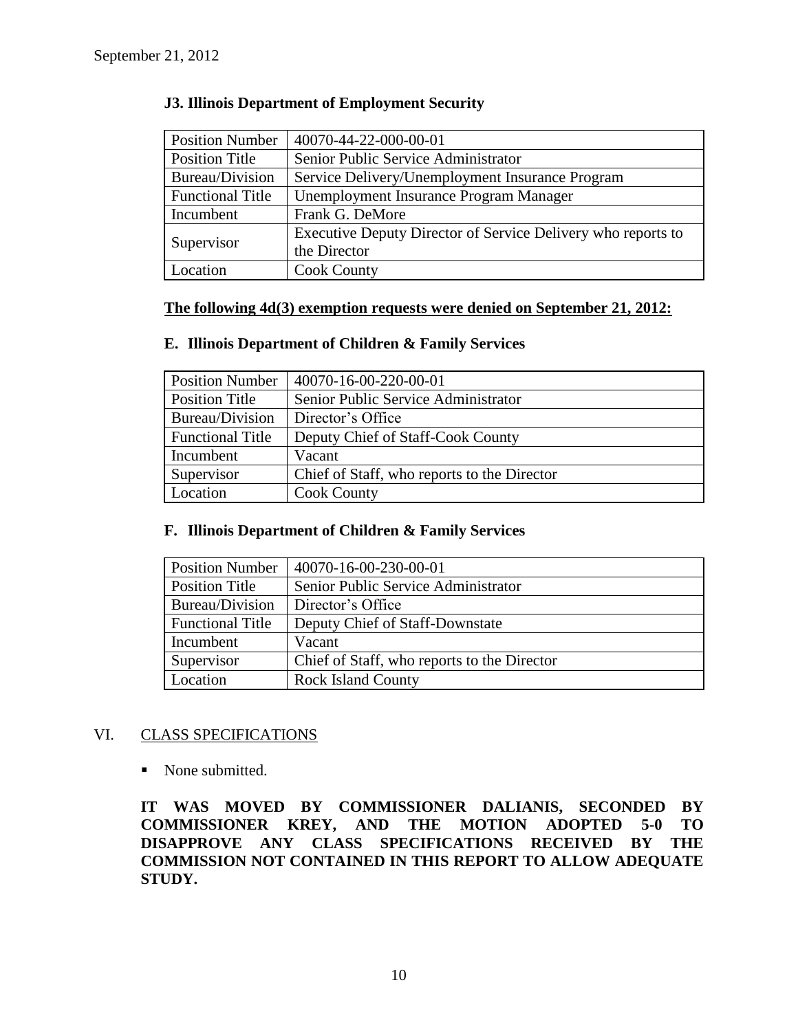| <b>Position Number</b>  | 40070-44-22-000-00-01                                        |
|-------------------------|--------------------------------------------------------------|
| <b>Position Title</b>   | Senior Public Service Administrator                          |
| Bureau/Division         | Service Delivery/Unemployment Insurance Program              |
| <b>Functional Title</b> | Unemployment Insurance Program Manager                       |
| Incumbent               | Frank G. DeMore                                              |
| Supervisor              | Executive Deputy Director of Service Delivery who reports to |
|                         | the Director                                                 |
| Location                | <b>Cook County</b>                                           |

## **J3. Illinois Department of Employment Security**

#### **The following 4d(3) exemption requests were denied on September 21, 2012:**

## **E. Illinois Department of Children & Family Services**

| <b>Position Number</b>  | 40070-16-00-220-00-01                       |
|-------------------------|---------------------------------------------|
| Position Title          | Senior Public Service Administrator         |
| Bureau/Division         | Director's Office                           |
| <b>Functional Title</b> | Deputy Chief of Staff-Cook County           |
| Incumbent               | Vacant                                      |
| Supervisor              | Chief of Staff, who reports to the Director |
| Location                | <b>Cook County</b>                          |

#### **F. Illinois Department of Children & Family Services**

| <b>Position Number</b>  | 40070-16-00-230-00-01                       |  |
|-------------------------|---------------------------------------------|--|
| <b>Position Title</b>   | Senior Public Service Administrator         |  |
| Bureau/Division         | Director's Office                           |  |
| <b>Functional Title</b> | Deputy Chief of Staff-Downstate             |  |
| Incumbent               | Vacant                                      |  |
| Supervisor              | Chief of Staff, who reports to the Director |  |
| Location                | <b>Rock Island County</b>                   |  |

## VI. CLASS SPECIFICATIONS

• None submitted.

**IT WAS MOVED BY COMMISSIONER DALIANIS, SECONDED BY COMMISSIONER KREY, AND THE MOTION ADOPTED 5-0 TO DISAPPROVE ANY CLASS SPECIFICATIONS RECEIVED BY THE COMMISSION NOT CONTAINED IN THIS REPORT TO ALLOW ADEQUATE STUDY.**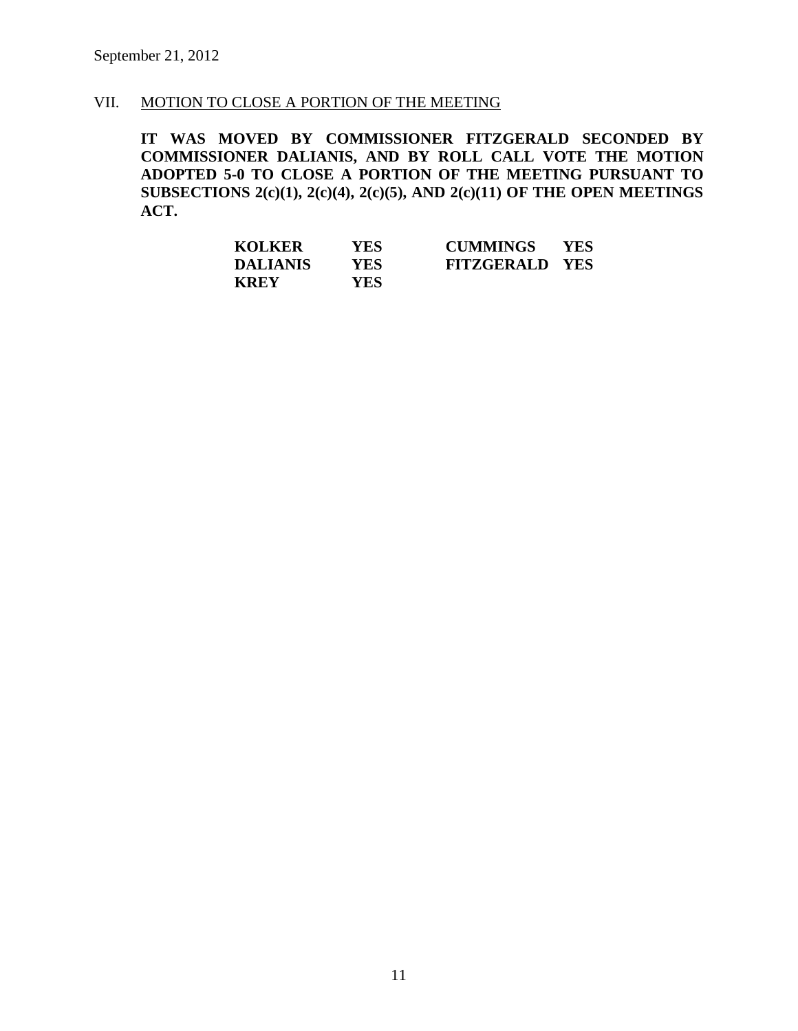# VII. MOTION TO CLOSE A PORTION OF THE MEETING

**IT WAS MOVED BY COMMISSIONER FITZGERALD SECONDED BY COMMISSIONER DALIANIS, AND BY ROLL CALL VOTE THE MOTION ADOPTED 5-0 TO CLOSE A PORTION OF THE MEETING PURSUANT TO SUBSECTIONS 2(c)(1), 2(c)(4), 2(c)(5), AND 2(c)(11) OF THE OPEN MEETINGS ACT.**

| <b>KOLKER</b>   | <b>YES</b> | <b>CUMMINGS</b>       | <b>YES</b> |
|-----------------|------------|-----------------------|------------|
| <b>DALIANIS</b> | YES.       | <b>FITZGERALD YES</b> |            |
| <b>KREY</b>     | <b>YES</b> |                       |            |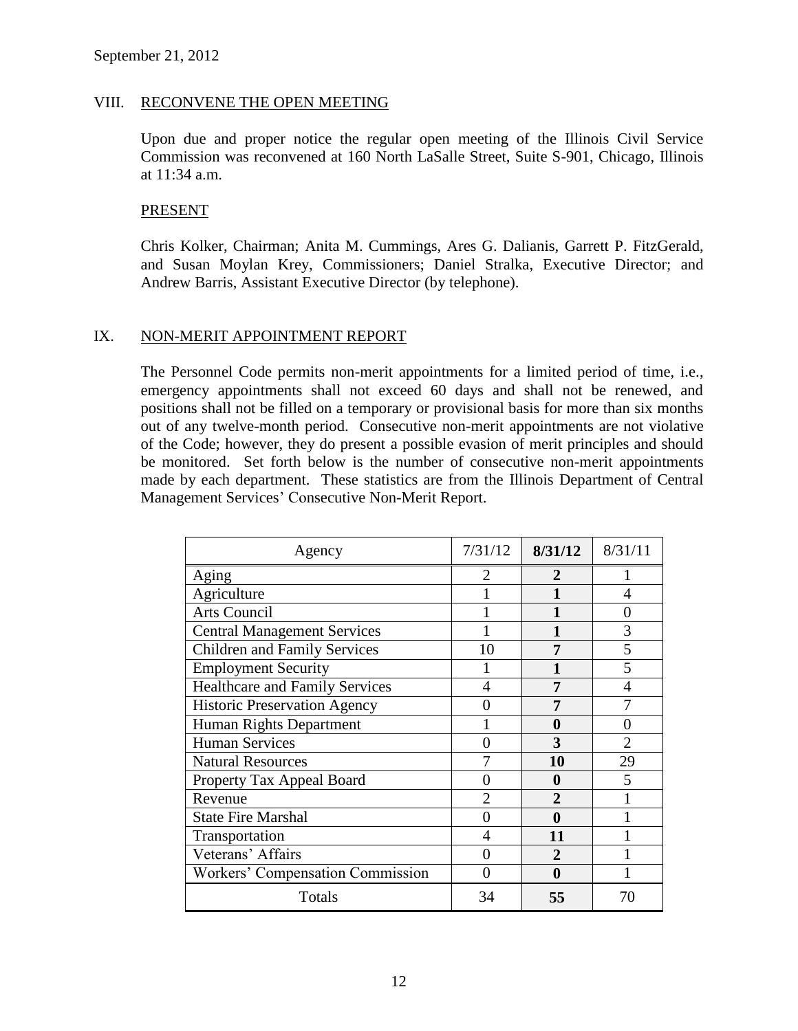#### VIII. RECONVENE THE OPEN MEETING

Upon due and proper notice the regular open meeting of the Illinois Civil Service Commission was reconvened at 160 North LaSalle Street, Suite S-901, Chicago, Illinois at 11:34 a.m.

#### PRESENT

Chris Kolker, Chairman; Anita M. Cummings, Ares G. Dalianis, Garrett P. FitzGerald, and Susan Moylan Krey, Commissioners; Daniel Stralka, Executive Director; and Andrew Barris, Assistant Executive Director (by telephone).

#### IX. NON-MERIT APPOINTMENT REPORT

The Personnel Code permits non-merit appointments for a limited period of time, i.e., emergency appointments shall not exceed 60 days and shall not be renewed, and positions shall not be filled on a temporary or provisional basis for more than six months out of any twelve-month period. Consecutive non-merit appointments are not violative of the Code; however, they do present a possible evasion of merit principles and should be monitored. Set forth below is the number of consecutive non-merit appointments made by each department. These statistics are from the Illinois Department of Central Management Services' Consecutive Non-Merit Report.

| Agency                                | 7/31/12        | 8/31/12        | 8/31/11        |
|---------------------------------------|----------------|----------------|----------------|
| Aging                                 | 2              | 2              |                |
| Agriculture                           |                | 1              | 4              |
| <b>Arts Council</b>                   |                |                | 0              |
| <b>Central Management Services</b>    |                | 1              | 3              |
| <b>Children and Family Services</b>   | 10             | 7              | 5              |
| <b>Employment Security</b>            |                | 1              | 5              |
| <b>Healthcare and Family Services</b> | 4              | 7              | 4              |
| <b>Historic Preservation Agency</b>   |                | 7              |                |
| Human Rights Department               |                | 0              | 0              |
| <b>Human Services</b>                 | 0              | 3              | $\overline{2}$ |
| <b>Natural Resources</b>              |                | 10             | 29             |
| Property Tax Appeal Board             | 0              | 0              | 5              |
| Revenue                               | $\overline{2}$ | $\overline{2}$ |                |
| <b>State Fire Marshal</b>             | 0              | 0              |                |
| Transportation                        | 4              | 11             |                |
| Veterans' Affairs                     |                | $\overline{2}$ |                |
| Workers' Compensation Commission      |                | 0              |                |
| Totals                                | 34             | 55             | 70             |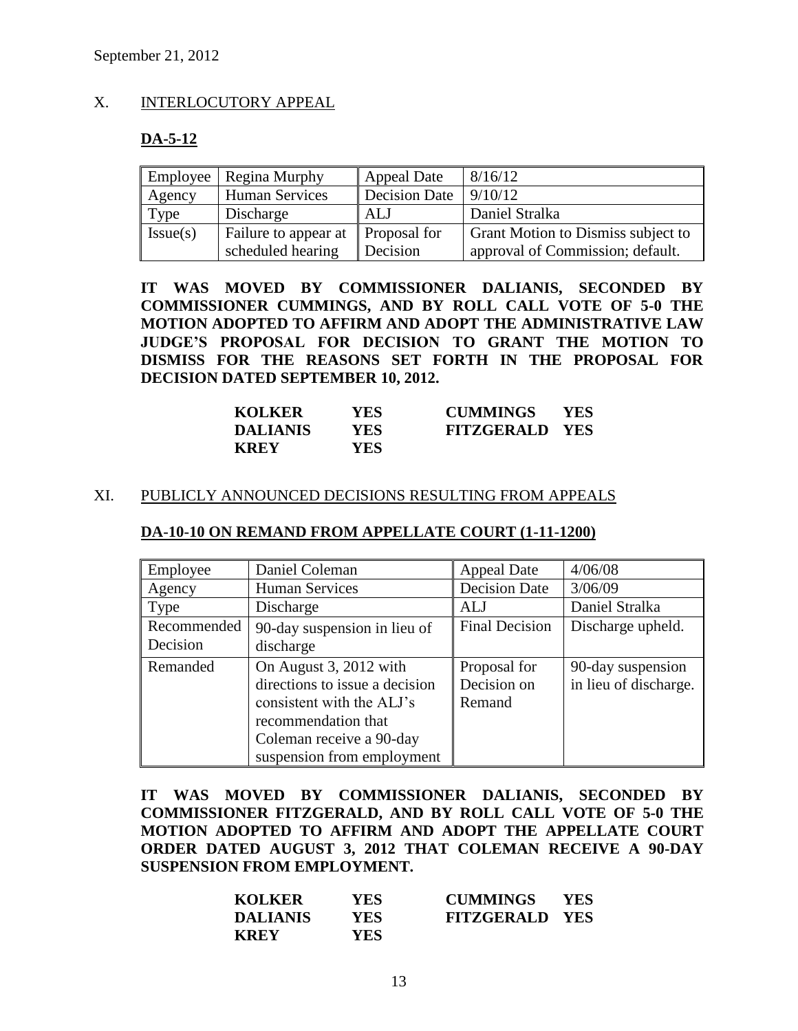#### X. INTERLOCUTORY APPEAL

## **DA-5-12**

| Employee | Regina Murphy                                 | <b>Appeal Date</b> | 8/16/12                            |
|----------|-----------------------------------------------|--------------------|------------------------------------|
| Agency   | <b>Human Services</b>                         | Decision Date      | 9/10/12                            |
| Type     | Discharge                                     | ALJ                | Daniel Stralka                     |
| Issue(s) | Failure to appear at $\parallel$ Proposal for |                    | Grant Motion to Dismiss subject to |
|          | scheduled hearing                             | Decision           | approval of Commission; default.   |

**IT WAS MOVED BY COMMISSIONER DALIANIS, SECONDED BY COMMISSIONER CUMMINGS, AND BY ROLL CALL VOTE OF 5-0 THE MOTION ADOPTED TO AFFIRM AND ADOPT THE ADMINISTRATIVE LAW JUDGE'S PROPOSAL FOR DECISION TO GRANT THE MOTION TO DISMISS FOR THE REASONS SET FORTH IN THE PROPOSAL FOR DECISION DATED SEPTEMBER 10, 2012.**

| <b>KOLKER</b>   | YES  | <b>CUMMINGS</b>       | <b>YES</b> |
|-----------------|------|-----------------------|------------|
| <b>DALIANIS</b> | YES. | <b>FITZGERALD YES</b> |            |
| <b>KREY</b>     | YES. |                       |            |

#### XI. PUBLICLY ANNOUNCED DECISIONS RESULTING FROM APPEALS

#### **DA-10-10 ON REMAND FROM APPELLATE COURT (1-11-1200)**

| Employee                | Daniel Coleman                                                                                                                                                         | <b>Appeal Date</b>                    | 4/06/08                                    |
|-------------------------|------------------------------------------------------------------------------------------------------------------------------------------------------------------------|---------------------------------------|--------------------------------------------|
| Agency                  | <b>Human Services</b>                                                                                                                                                  | <b>Decision Date</b>                  | 3/06/09                                    |
| Type                    | Discharge                                                                                                                                                              | AL J                                  | Daniel Stralka                             |
| Recommended<br>Decision | 90-day suspension in lieu of<br>discharge                                                                                                                              | <b>Final Decision</b>                 | Discharge upheld.                          |
| Remanded                | On August 3, 2012 with<br>directions to issue a decision<br>consistent with the ALJ's<br>recommendation that<br>Coleman receive a 90-day<br>suspension from employment | Proposal for<br>Decision on<br>Remand | 90-day suspension<br>in lieu of discharge. |

**IT WAS MOVED BY COMMISSIONER DALIANIS, SECONDED BY COMMISSIONER FITZGERALD, AND BY ROLL CALL VOTE OF 5-0 THE MOTION ADOPTED TO AFFIRM AND ADOPT THE APPELLATE COURT ORDER DATED AUGUST 3, 2012 THAT COLEMAN RECEIVE A 90-DAY SUSPENSION FROM EMPLOYMENT.**

| <b>KOLKER</b>   | <b>YES</b> | <b>CUMMINGS</b>       | <b>YES</b> |
|-----------------|------------|-----------------------|------------|
| <b>DALIANIS</b> | <b>YES</b> | <b>FITZGERALD YES</b> |            |
| <b>KREY</b>     | <b>YES</b> |                       |            |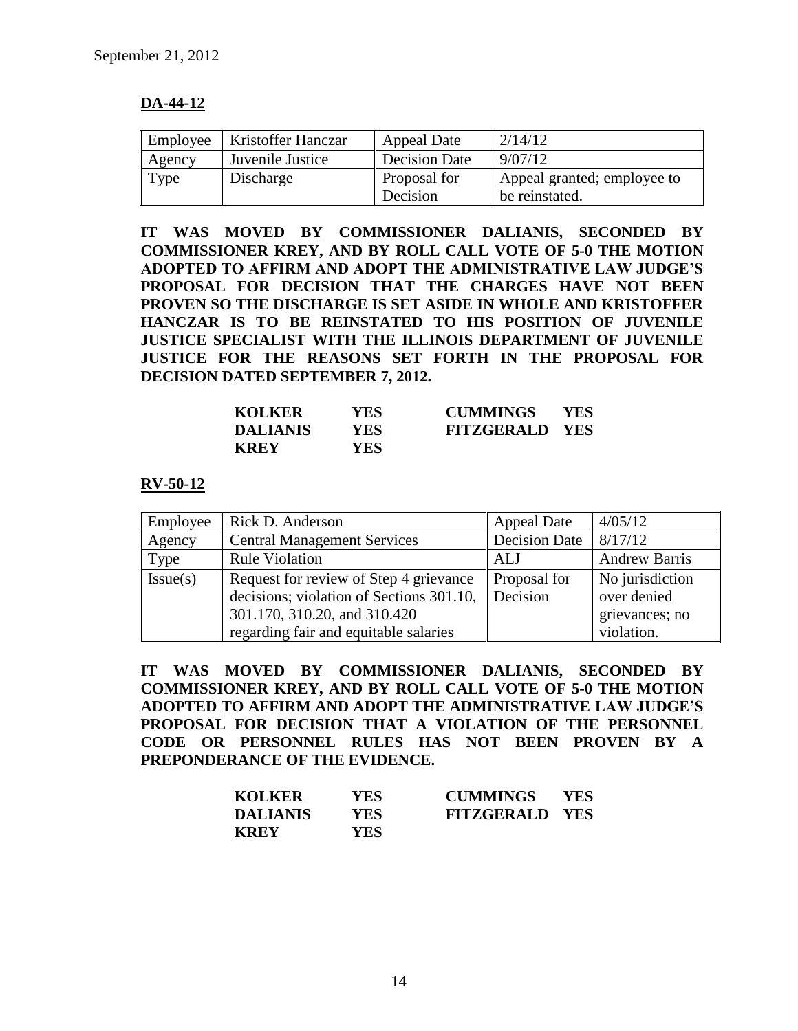# **DA-44-12**

| Employee | Kristoffer Hanczar | <b>Appeal Date</b>   | 2/14/12                     |
|----------|--------------------|----------------------|-----------------------------|
| Agency   | Juvenile Justice   | <b>Decision Date</b> | 9/07/12                     |
| Type     | Discharge          | Proposal for         | Appeal granted; employee to |
|          |                    | Decision             | be reinstated.              |

**IT WAS MOVED BY COMMISSIONER DALIANIS, SECONDED BY COMMISSIONER KREY, AND BY ROLL CALL VOTE OF 5-0 THE MOTION ADOPTED TO AFFIRM AND ADOPT THE ADMINISTRATIVE LAW JUDGE'S PROPOSAL FOR DECISION THAT THE CHARGES HAVE NOT BEEN PROVEN SO THE DISCHARGE IS SET ASIDE IN WHOLE AND KRISTOFFER HANCZAR IS TO BE REINSTATED TO HIS POSITION OF JUVENILE JUSTICE SPECIALIST WITH THE ILLINOIS DEPARTMENT OF JUVENILE JUSTICE FOR THE REASONS SET FORTH IN THE PROPOSAL FOR DECISION DATED SEPTEMBER 7, 2012.**

| <b>KOLKER</b>   | YES        | <b>CUMMINGS</b>       | <b>YES</b> |
|-----------------|------------|-----------------------|------------|
| <b>DALIANIS</b> | YES        | <b>FITZGERALD YES</b> |            |
| <b>KREY</b>     | <b>YES</b> |                       |            |

**RV-50-12**

| Employee | Rick D. Anderson                         | <b>Appeal Date</b>  | 4/05/12              |
|----------|------------------------------------------|---------------------|----------------------|
| Agency   | <b>Central Management Services</b>       | Decision Date       | 8/17/12              |
| Type     | <b>Rule Violation</b>                    | ALJ                 | <b>Andrew Barris</b> |
| Issue(s) | Request for review of Step 4 grievance   | <b>Proposal for</b> | No jurisdiction      |
|          | decisions; violation of Sections 301.10, | Decision            | over denied          |
|          | 301.170, 310.20, and 310.420             |                     | grievances; no       |
|          | regarding fair and equitable salaries    |                     | violation.           |

**IT WAS MOVED BY COMMISSIONER DALIANIS, SECONDED BY COMMISSIONER KREY, AND BY ROLL CALL VOTE OF 5-0 THE MOTION ADOPTED TO AFFIRM AND ADOPT THE ADMINISTRATIVE LAW JUDGE'S PROPOSAL FOR DECISION THAT A VIOLATION OF THE PERSONNEL CODE OR PERSONNEL RULES HAS NOT BEEN PROVEN BY A PREPONDERANCE OF THE EVIDENCE.**

| <b>KOLKER</b>   | YES. | <b>CUMMINGS</b>       | <b>YES</b> |
|-----------------|------|-----------------------|------------|
| <b>DALIANIS</b> | YES. | <b>FITZGERALD YES</b> |            |
| <b>KREY</b>     | YES. |                       |            |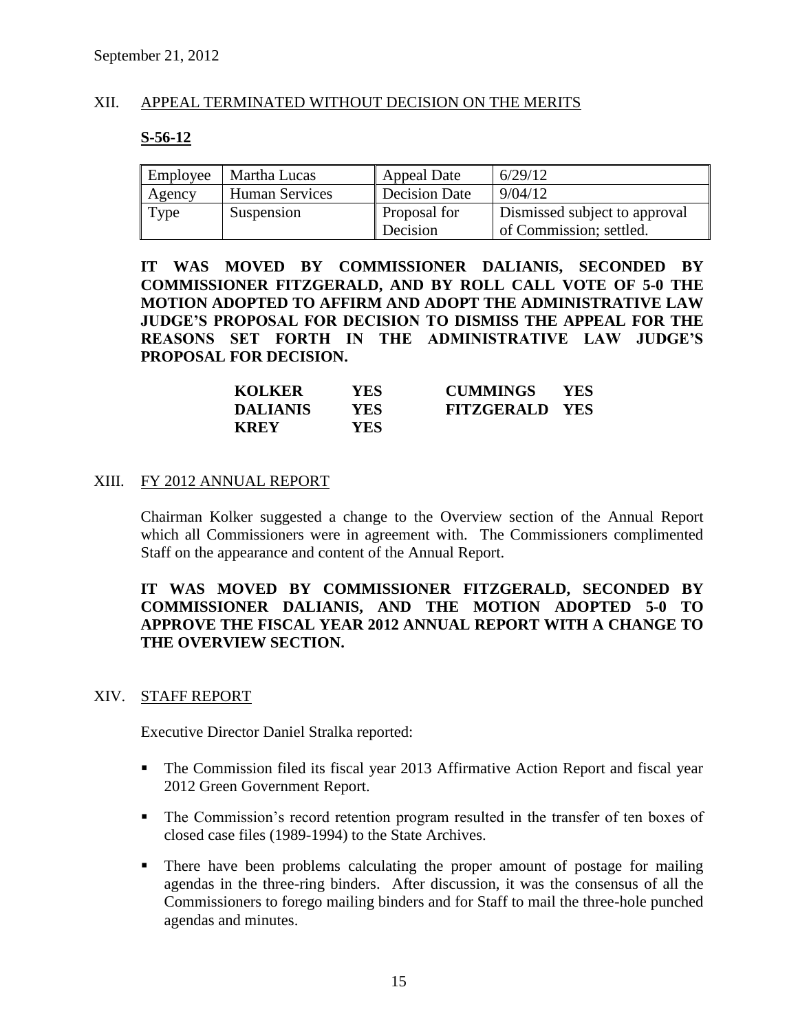#### XII. APPEAL TERMINATED WITHOUT DECISION ON THE MERITS

## **S-56-12**

| Employee | Martha Lucas          | <b>Appeal Date</b> | 6/29/12                       |
|----------|-----------------------|--------------------|-------------------------------|
| Agency   | <b>Human Services</b> | Decision Date      | 9/04/12                       |
| Type     | Suspension            | Proposal for       | Dismissed subject to approval |
|          |                       | Decision           | of Commission; settled.       |

**IT WAS MOVED BY COMMISSIONER DALIANIS, SECONDED BY COMMISSIONER FITZGERALD, AND BY ROLL CALL VOTE OF 5-0 THE MOTION ADOPTED TO AFFIRM AND ADOPT THE ADMINISTRATIVE LAW JUDGE'S PROPOSAL FOR DECISION TO DISMISS THE APPEAL FOR THE REASONS SET FORTH IN THE ADMINISTRATIVE LAW JUDGE'S PROPOSAL FOR DECISION.**

| <b>KOLKER</b>   | <b>YES</b> | <b>CUMMINGS</b>       | <b>YES</b> |
|-----------------|------------|-----------------------|------------|
| <b>DALIANIS</b> | YES-       | <b>FITZGERALD YES</b> |            |
| <b>KREY</b>     | YES.       |                       |            |

#### XIII. FY 2012 ANNUAL REPORT

Chairman Kolker suggested a change to the Overview section of the Annual Report which all Commissioners were in agreement with. The Commissioners complimented Staff on the appearance and content of the Annual Report.

## **IT WAS MOVED BY COMMISSIONER FITZGERALD, SECONDED BY COMMISSIONER DALIANIS, AND THE MOTION ADOPTED 5-0 TO APPROVE THE FISCAL YEAR 2012 ANNUAL REPORT WITH A CHANGE TO THE OVERVIEW SECTION.**

#### XIV. STAFF REPORT

Executive Director Daniel Stralka reported:

- The Commission filed its fiscal year 2013 Affirmative Action Report and fiscal year 2012 Green Government Report.
- The Commission's record retention program resulted in the transfer of ten boxes of closed case files (1989-1994) to the State Archives.
- There have been problems calculating the proper amount of postage for mailing agendas in the three-ring binders. After discussion, it was the consensus of all the Commissioners to forego mailing binders and for Staff to mail the three-hole punched agendas and minutes.